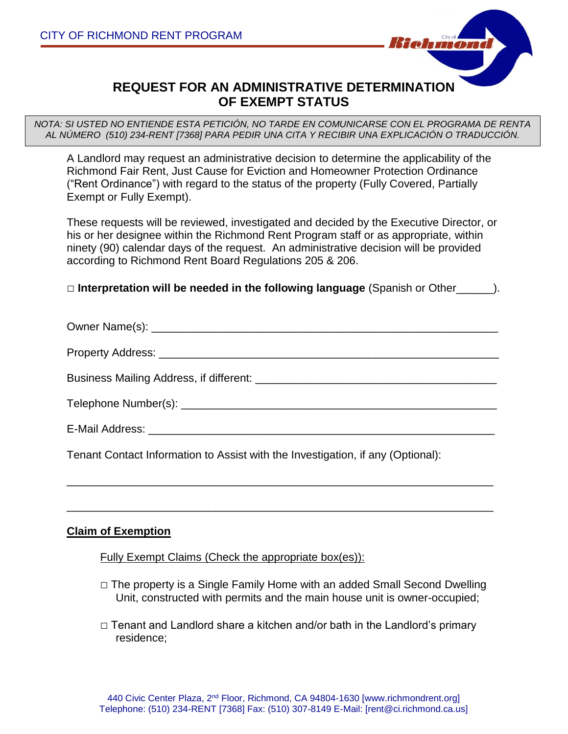

## **REQUEST FOR AN ADMINISTRATIVE DETERMINATION OF EXEMPT STATUS**

*NOTA: SI USTED NO ENTIENDE ESTA PETICIÓN, NO TARDE EN COMUNICARSE CON EL PROGRAMA DE RENTA AL NÚMERO (510) 234-RENT [7368] PARA PEDIR UNA CITA Y RECIBIR UNA EXPLICACIÓN O TRADUCCIÓN.*

A Landlord may request an administrative decision to determine the applicability of the Richmond Fair Rent, Just Cause for Eviction and Homeowner Protection Ordinance ("Rent Ordinance") with regard to the status of the property (Fully Covered, Partially Exempt or Fully Exempt).

These requests will be reviewed, investigated and decided by the Executive Director, or his or her designee within the Richmond Rent Program staff or as appropriate, within ninety (90) calendar days of the request. An administrative decision will be provided according to Richmond Rent Board Regulations 205 & 206.

□ **Interpretation will be needed in the following language** (Spanish or Other\_\_\_\_\_\_).

\_\_\_\_\_\_\_\_\_\_\_\_\_\_\_\_\_\_\_\_\_\_\_\_\_\_\_\_\_\_\_\_\_\_\_\_\_\_\_\_\_\_\_\_\_\_\_\_\_\_\_\_\_\_\_\_\_\_\_\_\_\_\_\_\_\_\_\_\_

\_\_\_\_\_\_\_\_\_\_\_\_\_\_\_\_\_\_\_\_\_\_\_\_\_\_\_\_\_\_\_\_\_\_\_\_\_\_\_\_\_\_\_\_\_\_\_\_\_\_\_\_\_\_\_\_\_\_\_\_\_\_\_\_\_\_\_\_\_

Tenant Contact Information to Assist with the Investigation, if any (Optional):

## **Claim of Exemption**

Fully Exempt Claims (Check the appropriate box(es)):

- $\Box$  The property is a Single Family Home with an added Small Second Dwelling Unit, constructed with permits and the main house unit is owner-occupied;
- □ Tenant and Landlord share a kitchen and/or bath in the Landlord's primary residence;